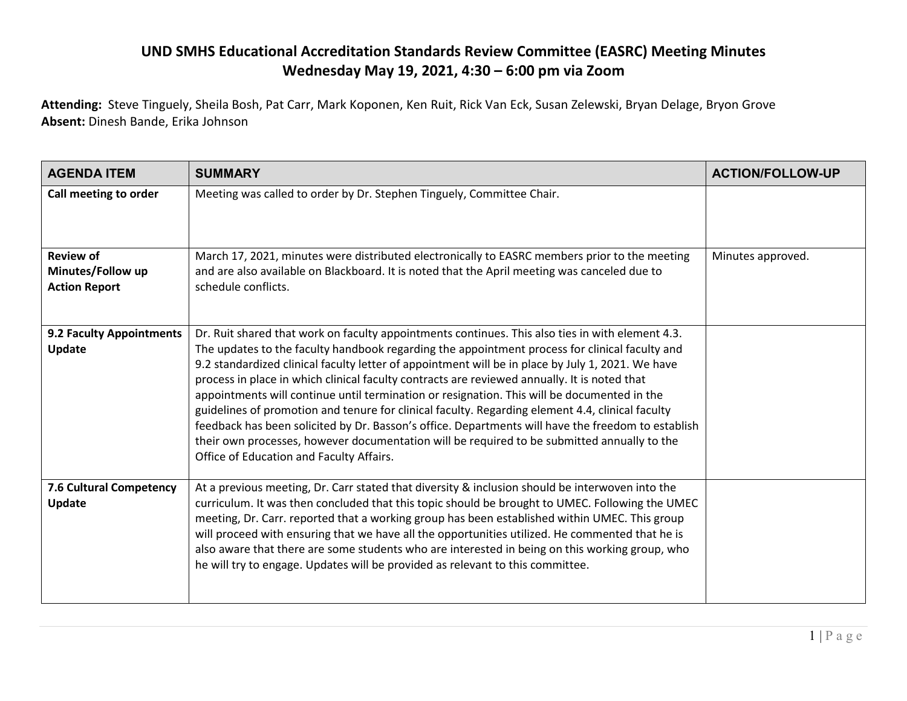## **UND SMHS Educational Accreditation Standards Review Committee (EASRC) Meeting Minutes Wednesday May 19, 2021, 4:30 – 6:00 pm via Zoom**

**Attending:** Steve Tinguely, Sheila Bosh, Pat Carr, Mark Koponen, Ken Ruit, Rick Van Eck, Susan Zelewski, Bryan Delage, Bryon Grove **Absent:** Dinesh Bande, Erika Johnson

| <b>AGENDA ITEM</b>                                            | <b>SUMMARY</b>                                                                                                                                                                                                                                                                                                                                                                                                                                                                                                                                                                                                                                                                                                                                                                                                                                              | <b>ACTION/FOLLOW-UP</b> |
|---------------------------------------------------------------|-------------------------------------------------------------------------------------------------------------------------------------------------------------------------------------------------------------------------------------------------------------------------------------------------------------------------------------------------------------------------------------------------------------------------------------------------------------------------------------------------------------------------------------------------------------------------------------------------------------------------------------------------------------------------------------------------------------------------------------------------------------------------------------------------------------------------------------------------------------|-------------------------|
| Call meeting to order                                         | Meeting was called to order by Dr. Stephen Tinguely, Committee Chair.                                                                                                                                                                                                                                                                                                                                                                                                                                                                                                                                                                                                                                                                                                                                                                                       |                         |
| <b>Review of</b><br>Minutes/Follow up<br><b>Action Report</b> | March 17, 2021, minutes were distributed electronically to EASRC members prior to the meeting<br>and are also available on Blackboard. It is noted that the April meeting was canceled due to<br>schedule conflicts.                                                                                                                                                                                                                                                                                                                                                                                                                                                                                                                                                                                                                                        | Minutes approved.       |
| 9.2 Faculty Appointments<br>Update                            | Dr. Ruit shared that work on faculty appointments continues. This also ties in with element 4.3.<br>The updates to the faculty handbook regarding the appointment process for clinical faculty and<br>9.2 standardized clinical faculty letter of appointment will be in place by July 1, 2021. We have<br>process in place in which clinical faculty contracts are reviewed annually. It is noted that<br>appointments will continue until termination or resignation. This will be documented in the<br>guidelines of promotion and tenure for clinical faculty. Regarding element 4.4, clinical faculty<br>feedback has been solicited by Dr. Basson's office. Departments will have the freedom to establish<br>their own processes, however documentation will be required to be submitted annually to the<br>Office of Education and Faculty Affairs. |                         |
| 7.6 Cultural Competency<br>Update                             | At a previous meeting, Dr. Carr stated that diversity & inclusion should be interwoven into the<br>curriculum. It was then concluded that this topic should be brought to UMEC. Following the UMEC<br>meeting, Dr. Carr. reported that a working group has been established within UMEC. This group<br>will proceed with ensuring that we have all the opportunities utilized. He commented that he is<br>also aware that there are some students who are interested in being on this working group, who<br>he will try to engage. Updates will be provided as relevant to this committee.                                                                                                                                                                                                                                                                  |                         |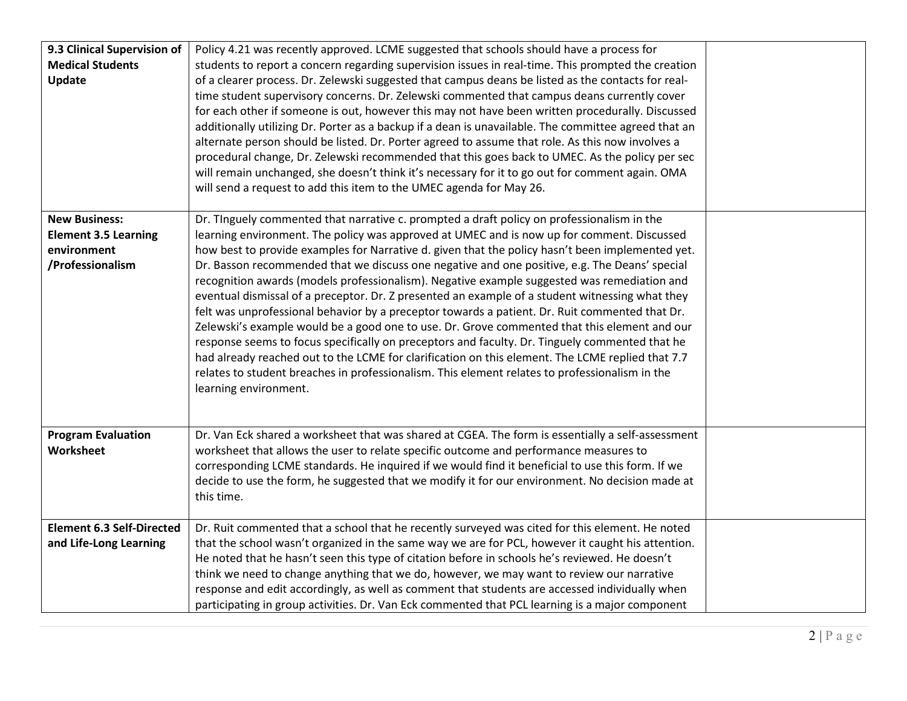| 9.3 Clinical Supervision of<br><b>Medical Students</b><br>Update                                     | Policy 4.21 was recently approved. LCME suggested that schools should have a process for<br>students to report a concern regarding supervision issues in real-time. This prompted the creation<br>of a clearer process. Dr. Zelewski suggested that campus deans be listed as the contacts for real-<br>time student supervisory concerns. Dr. Zelewski commented that campus deans currently cover<br>for each other if someone is out, however this may not have been written procedurally. Discussed<br>additionally utilizing Dr. Porter as a backup if a dean is unavailable. The committee agreed that an<br>alternate person should be listed. Dr. Porter agreed to assume that role. As this now involves a<br>procedural change, Dr. Zelewski recommended that this goes back to UMEC. As the policy per sec<br>will remain unchanged, she doesn't think it's necessary for it to go out for comment again. OMA<br>will send a request to add this item to the UMEC agenda for May 26.                                                                                                                                    |  |
|------------------------------------------------------------------------------------------------------|------------------------------------------------------------------------------------------------------------------------------------------------------------------------------------------------------------------------------------------------------------------------------------------------------------------------------------------------------------------------------------------------------------------------------------------------------------------------------------------------------------------------------------------------------------------------------------------------------------------------------------------------------------------------------------------------------------------------------------------------------------------------------------------------------------------------------------------------------------------------------------------------------------------------------------------------------------------------------------------------------------------------------------------------------------------------------------------------------------------------------------|--|
| <b>New Business:</b><br><b>Element 3.5 Learning</b><br>environment<br>/Professionalism               | Dr. Tinguely commented that narrative c. prompted a draft policy on professionalism in the<br>learning environment. The policy was approved at UMEC and is now up for comment. Discussed<br>how best to provide examples for Narrative d. given that the policy hasn't been implemented yet.<br>Dr. Basson recommended that we discuss one negative and one positive, e.g. The Deans' special<br>recognition awards (models professionalism). Negative example suggested was remediation and<br>eventual dismissal of a preceptor. Dr. Z presented an example of a student witnessing what they<br>felt was unprofessional behavior by a preceptor towards a patient. Dr. Ruit commented that Dr.<br>Zelewski's example would be a good one to use. Dr. Grove commented that this element and our<br>response seems to focus specifically on preceptors and faculty. Dr. Tinguely commented that he<br>had already reached out to the LCME for clarification on this element. The LCME replied that 7.7<br>relates to student breaches in professionalism. This element relates to professionalism in the<br>learning environment. |  |
| <b>Program Evaluation</b><br>Worksheet<br><b>Element 6.3 Self-Directed</b><br>and Life-Long Learning | Dr. Van Eck shared a worksheet that was shared at CGEA. The form is essentially a self-assessment<br>worksheet that allows the user to relate specific outcome and performance measures to<br>corresponding LCME standards. He inquired if we would find it beneficial to use this form. If we<br>decide to use the form, he suggested that we modify it for our environment. No decision made at<br>this time.<br>Dr. Ruit commented that a school that he recently surveyed was cited for this element. He noted<br>that the school wasn't organized in the same way we are for PCL, however it caught his attention.<br>He noted that he hasn't seen this type of citation before in schools he's reviewed. He doesn't<br>think we need to change anything that we do, however, we may want to review our narrative                                                                                                                                                                                                                                                                                                             |  |
|                                                                                                      | response and edit accordingly, as well as comment that students are accessed individually when<br>participating in group activities. Dr. Van Eck commented that PCL learning is a major component                                                                                                                                                                                                                                                                                                                                                                                                                                                                                                                                                                                                                                                                                                                                                                                                                                                                                                                                  |  |